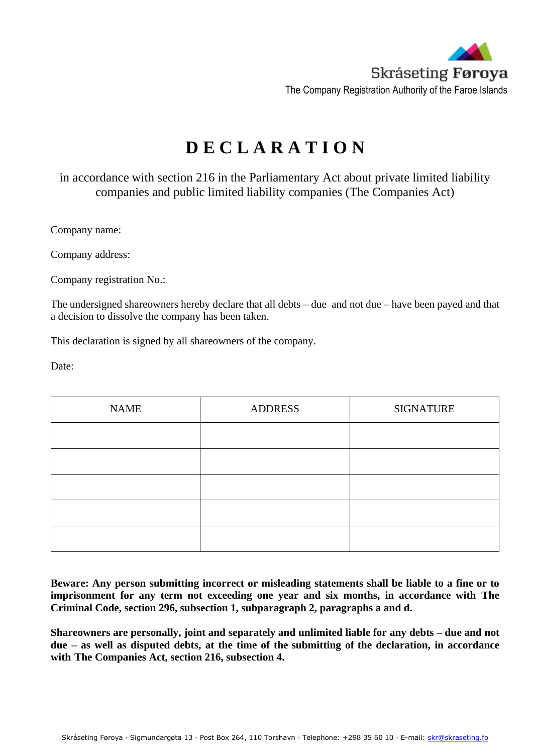

## **D E C L A R A T I O N**

in accordance with section 216 in the Parliamentary Act about private limited liability companies and public limited liability companies (The Companies Act)

Company name:

Company address:

Company registration No.:

The undersigned shareowners hereby declare that all debts – due and not due – have been payed and that a decision to dissolve the company has been taken.

This declaration is signed by all shareowners of the company.

Date:

| <b>NAME</b> | <b>ADDRESS</b> | <b>SIGNATURE</b> |
|-------------|----------------|------------------|
|             |                |                  |
|             |                |                  |
|             |                |                  |
|             |                |                  |
|             |                |                  |

**Beware: Any person submitting incorrect or misleading statements shall be liable to a fine or to imprisonment for any term not exceeding one year and six months, in accordance with The Criminal Code, section 296, subsection 1, subparagraph 2, paragraphs a and d.**

**Shareowners are personally, joint and separately and unlimited liable for any debts – due and not due – as well as disputed debts, at the time of the submitting of the declaration, in accordance with The Companies Act, section 216, subsection 4.**